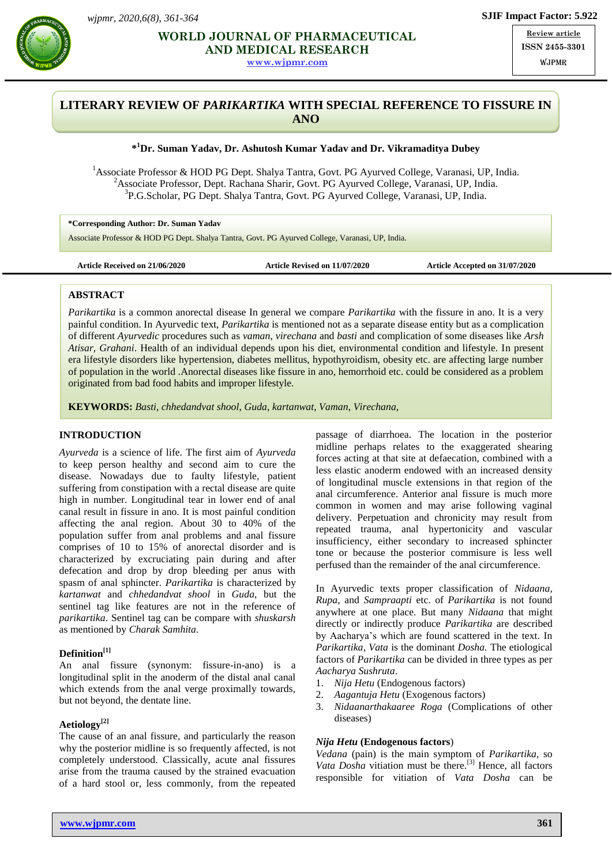

**SUMPTER ALL ACTEUTICAL AND RESEARCH AND RESEARCH RESEARCH RESEARCH RESEARCH RESEARCH RESEARCH RESEARCH RESEARCH AND MEDICAL RESEARCH**

**[www.wjpmr.com](http://www.wjpmr.com/)**

**Review article ISSN 2455-3301 WJPMR** 

# **LITERARY REVIEW OF** *PARIKARTIKA* **WITH SPECIAL REFERENCE TO FISSURE IN ANO**

## **\* <sup>1</sup>Dr. Suman Yadav, Dr. Ashutosh Kumar Yadav and Dr. Vikramaditya Dubey**

<sup>1</sup>Associate Professor & HOD PG Dept. Shalya Tantra, Govt. PG Ayurved College, Varanasi, UP, India.  $2A$ ssociate Professor, Dept. Rachana Sharir, Govt. PG Ayurved College, Varanasi, UP, India. 3 P.G.Scholar, PG Dept. Shalya Tantra, Govt. PG Ayurved College, Varanasi, UP, India.

**\*Corresponding Author: Dr. Suman Yadav**

Associate Professor & HOD PG Dept. Shalya Tantra, Govt. PG Ayurved College, Varanasi, UP, India.

**Article Received on 21/06/2020 Article Revised on 11/07/2020 Article Accepted on 31/07/2020** 

### **ABSTRACT**

*Parikartika* is a common anorectal disease In general we compare *Parikartika* with the fissure in ano. It is a very painful condition. In Ayurvedic text, *Parikartika* is mentioned not as a separate disease entity but as a complication of different *Ayurvedic* procedures such as *vaman*, *virechana* and *basti* and complication of some diseases like *Arsh Atisar, Grahani*. Health of an individual depends upon his diet, environmental condition and lifestyle. In present era lifestyle disorders like hypertension, diabetes mellitus, hypothyroidism, obesity etc. are affecting large number of population in the world .Anorectal diseases like fissure in ano, hemorrhoid etc. could be considered as a problem originated from bad food habits and improper lifestyle.

**KEYWORDS:** *Basti, chhedandvat shool*, *Guda*, *kartanwat*, *Vaman*, *Virechana,* 

### **INTRODUCTION**

*Ayurveda* is a science of life. The first aim of *Ayurveda* to keep person healthy and second aim to cure the disease. Nowadays due to faulty lifestyle, patient suffering from constipation with a rectal disease are quite high in number. Longitudinal tear in lower end of anal canal result in fissure in ano. It is most painful condition affecting the anal region. About 30 to 40% of the population suffer from anal problems and anal fissure comprises of 10 to 15% of anorectal disorder and is characterized by excruciating pain during and after defecation and drop by drop bleeding per anus with spasm of anal sphincter. *Parikartika* is characterized by *kartanwat* and *chhedandvat shool* in *Guda*, but the sentinel tag like features are not in the reference of *parikartika*. Sentinel tag can be compare with *shuskarsh* as mentioned by *Charak Samhita*.

### **Definition[1]**

An anal fissure (synonym: fissure-in-ano) is a longitudinal split in the anoderm of the distal anal canal which extends from the anal verge proximally towards, but not beyond, the dentate line.

### **Aetiology[2]**

The cause of an anal fissure, and particularly the reason why the posterior midline is so frequently affected, is not completely understood. Classically, acute anal fissures arise from the trauma caused by the strained evacuation of a hard stool or, less commonly, from the repeated

passage of diarrhoea. The location in the posterior midline perhaps relates to the exaggerated shearing forces acting at that site at defaecation, combined with a less elastic anoderm endowed with an increased density of longitudinal muscle extensions in that region of the anal circumference. Anterior anal fissure is much more common in women and may arise following vaginal delivery. Perpetuation and chronicity may result from repeated trauma, anal hypertonicity and vascular insufficiency, either secondary to increased sphincter tone or because the posterior commisure is less well perfused than the remainder of the anal circumference.

In Ayurvedic texts proper classification of *Nidaana, Rupa,* and *Sampraapti* etc. of *Parikartika* is not found anywhere at one place. But many *Nidaana* that might directly or indirectly produce *Parikartika* are described by Aacharya's which are found scattered in the text. In *Parikartika*, *Vata* is the dominant *Dosha.* The etiological factors of *Parikartika* can be divided in three types as per *Aacharya Sushruta*.

- 1. *Nija Hetu* (Endogenous factors)
- 2. *Aagantuja Hetu* (Exogenous factors)
- 3. *Nidaanarthakaaree Roga* (Complications of other diseases)

## *Nija Hetu* **(Endogenous factors**)

*Vedana* (pain) is the main symptom of *Parikartika*, so *Vata Dosha* vitiation must be there.<sup>[3]</sup> Hence, all factors responsible for vitiation of *Vata Dosha* can be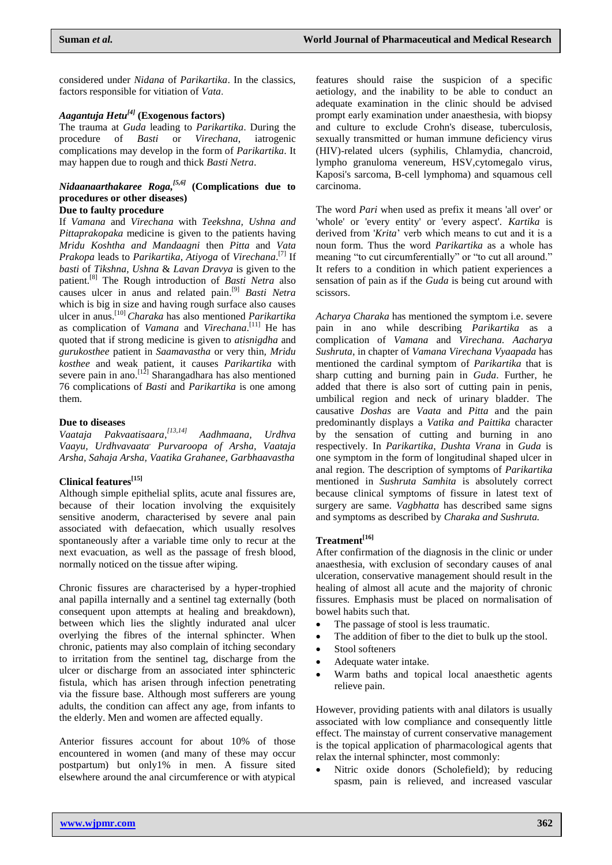considered under *Nidana* of *Parikartika*. In the classics, factors responsible for vitiation of *Vata*.

## *Aagantuja Hetu[4]* **(Exogenous factors)**

The trauma at *Guda* leading to *Parikartika*. During the procedure of *Basti* or *Virechana*, iatrogenic complications may develop in the form of *Parikartika*. It may happen due to rough and thick *Basti Netra*.

# *Nidaanaarthakaree Roga, [5,6]* **(Complications due to procedures or other diseases)**

## **Due to faulty procedure**

If *Vamana* and *Virechana* with *Teekshna, Ushna and Pittaprakopaka* medicine is given to the patients having *Mridu Koshtha and Mandaagni* then *Pitta* and *Vata Prakopa* leads to *Parikartika, Atiyoga* of *Virechana*. [7] If *basti* of *Tikshna, Ushna* & *Lavan Dravya* is given to the patient. [8] The Rough introduction of *Basti Netra* also causes ulcer in anus and related pain. [9] *Basti Netra* which is big in size and having rough surface also causes ulcer in anus.[10] *Charaka* has also mentioned *Parikartika*  as complication of *Vamana* and *Virechana*. [11] He has quoted that if strong medicine is given to *atisnigdha* and *gurukosthee* patient in *Saamavastha* or very thin*, Mridu kosthee* and weak patient, it causes *Parikartika* with severe pain in ano.  $\left[1\right]$  Sharangadhara has also mentioned 76 complications of *Basti* and *Parikartika* is one among them.

### **Due to diseases**

*Vaataja Pakvaatisaara, [13,14] Aadhmaana, Urdhva Vaayu, Urdhvavaata, Purvaroopa of Arsha, Vaataja Arsha, Sahaja Arsha, Vaatika Grahanee, Garbhaavastha*

## **Clinical features[15]**

Although simple epithelial splits, acute anal fissures are, because of their location involving the exquisitely sensitive anoderm, characterised by severe anal pain associated with defaecation, which usually resolves spontaneously after a variable time only to recur at the next evacuation, as well as the passage of fresh blood, normally noticed on the tissue after wiping.

Chronic fissures are characterised by a hyper-trophied anal papilla internally and a sentinel tag externally (both consequent upon attempts at healing and breakdown), between which lies the slightly indurated anal ulcer overlying the fibres of the internal sphincter. When chronic, patients may also complain of itching secondary to irritation from the sentinel tag, discharge from the ulcer or discharge from an associated inter sphincteric fistula, which has arisen through infection penetrating via the fissure base. Although most sufferers are young adults, the condition can affect any age, from infants to the elderly. Men and women are affected equally.

Anterior fissures account for about 10% of those encountered in women (and many of these may occur postpartum) but only1% in men. A fissure sited elsewhere around the anal circumference or with atypical

features should raise the suspicion of a specific aetiology, and the inability to be able to conduct an adequate examination in the clinic should be advised prompt early examination under anaesthesia, with biopsy and culture to exclude Crohn's disease, tuberculosis, sexually transmitted or human immune deficiency virus (HIV)-related ulcers (syphilis, Chlamydia, chancroid, lympho granuloma venereum, HSV,cytomegalo virus, Kaposi's sarcoma, B-cell lymphoma) and squamous cell carcinoma.

The word *Pari* when used as prefix it means 'all over' or 'whole' or 'every entity' or 'every aspect'. *Kartika* is derived from '*Krita*' verb which means to cut and it is a noun form. Thus the word *Parikartika* as a whole has meaning "to cut circumferentially" or "to cut all around." It refers to a condition in which patient experiences a sensation of pain as if the *Guda* is being cut around with scissors.

*Acharya Charaka* has mentioned the symptom i.e. severe pain in ano while describing *Parikartika* as a complication of *Vamana* and *Virechana. Aacharya Sushruta*, in chapter of *Vamana Virechana Vyaapada* has mentioned the cardinal symptom of *Parikartika* that is sharp cutting and burning pain in *Guda*. Further, he added that there is also sort of cutting pain in penis, umbilical region and neck of urinary bladder. The causative *Doshas* are *Vaata* and *Pitta* and the pain predominantly displays a *Vatika and Paittika* character by the sensation of cutting and burning in ano respectively. In *Parikartika*, *Dushta Vrana* in *Guda* is one symptom in the form of longitudinal shaped ulcer in anal region. The description of symptoms of *Parikartika*  mentioned in *Sushruta Samhita* is absolutely correct because clinical symptoms of fissure in latest text of surgery are same. *Vagbhatta* has described same signs and symptoms as described by *Charaka and Sushruta.*

## **Treatment[16]**

After confirmation of the diagnosis in the clinic or under anaesthesia, with exclusion of secondary causes of anal ulceration, conservative management should result in the healing of almost all acute and the majority of chronic fissures. Emphasis must be placed on normalisation of bowel habits such that.

- The passage of stool is less traumatic.
- The addition of fiber to the diet to bulk up the stool.
- Stool softeners
- Adequate water intake.
- Warm baths and topical local anaesthetic agents relieve pain.

However, providing patients with anal dilators is usually associated with low compliance and consequently little effect. The mainstay of current conservative management is the topical application of pharmacological agents that relax the internal sphincter, most commonly:

 Nitric oxide donors (Scholefield); by reducing spasm, pain is relieved, and increased vascular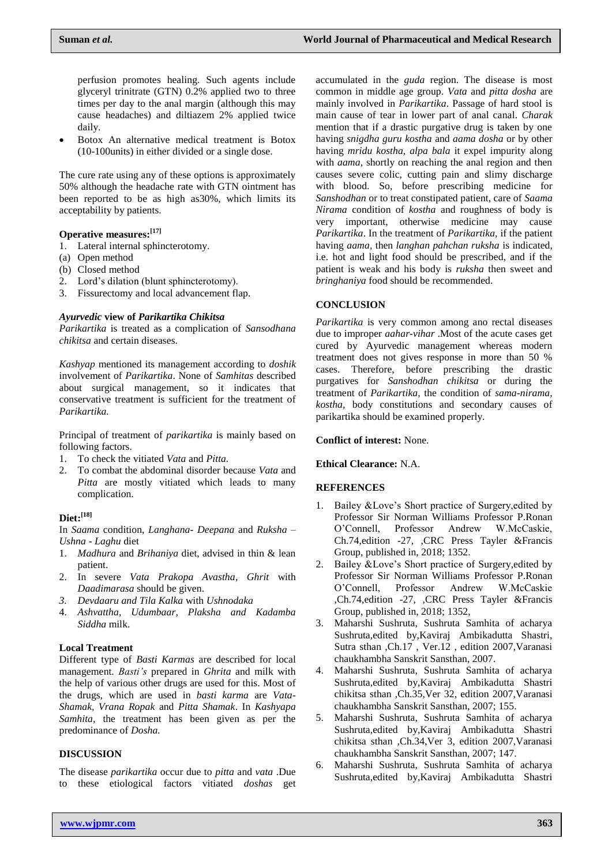perfusion promotes healing. Such agents include glyceryl trinitrate (GTN) 0.2% applied two to three times per day to the anal margin (although this may cause headaches) and diltiazem 2% applied twice daily.

 Botox An alternative medical treatment is Botox (10-100units) in either divided or a single dose.

The cure rate using any of these options is approximately 50% although the headache rate with GTN ointment has been reported to be as high as30%, which limits its acceptability by patients.

## **Operative measures: [17]**

- 1. Lateral internal sphincterotomy.
- (a) Open method
- (b) Closed method
- 2. Lord's dilation (blunt sphincterotomy).
- 3. Fissurectomy and local advancement flap.

### *Ayurvedic* **view of** *Parikartika Chikitsa*

*Parikartika* is treated as a complication of *Sansodhana chikitsa* and certain diseases.

*Kashyap* mentioned its management according to *doshik* involvement of *Parikartika*. None of *Samhitas* described about surgical management, so it indicates that conservative treatment is sufficient for the treatment of *Parikartika.*

Principal of treatment of *parikartika* is mainly based on following factors.

- 1. To check the vitiated *Vata* and *Pitta.*
- 2. To combat the abdominal disorder because *Vata* and *Pitta* are mostly vitiated which leads to many complication.

## **Diet: [18]**

In *Saama* condition, *Langhana- Deepana* and *Ruksha – Ushna - Laghu* diet

- 1. *Madhura* and *Brihaniya* diet, advised in thin & lean patient.
- 2. In severe *Vata Prakopa Avastha*, *Ghrit* with *Daadimarasa* should be given.
- *3. Devdaaru and Tila Kalka* with *Ushnodaka*
- 4. *Ashvattha, Udumbaar, Plaksha and Kadamba Siddha* milk.

### **Local Treatment**

Different type of *Basti Karmas* are described for local management. *Basti's* prepared in *Ghrita* and milk with the help of various other drugs are used for this. Most of the drugs, which are used in *basti karma* are *Vata-Shamak, Vrana Ropak* and *Pitta Shamak*. In *Kashyapa Samhita,* the treatment has been given as per the predominance of *Dosha.*

### **DISCUSSION**

The disease *parikartika* occur due to *pitta* and *vata* .Due to these etiological factors vitiated *doshas* get

accumulated in the *guda* region. The disease is most common in middle age group. *Vata* and *pitta dosha* are mainly involved in *Parikartika*. Passage of hard stool is main cause of tear in lower part of anal canal. *Charak* mention that if a drastic purgative drug is taken by one having *snigdha guru kostha* and *aama dosha* or by other having *mridu kostha, alpa bala* it expel impurity along with *aama*, shortly on reaching the anal region and then causes severe colic, cutting pain and slimy discharge with blood. So, before prescribing medicine for *Sanshodhan* or to treat constipated patient, care of *Saama Nirama* condition of *kostha* and roughness of body is very important, otherwise medicine may cause *Parikartika*. In the treatment of *Parikartika,* if the patient having *aama,* then *langhan pahchan ruksha* is indicated, i.e. hot and light food should be prescribed, and if the patient is weak and his body is *ruksha* then sweet and *bringhaniya* food should be recommended.

## **CONCLUSION**

*Parikartika* is very common among ano rectal diseases due to improper *aahar-vihar* .Most of the acute cases get cured by Ayurvedic management whereas modern treatment does not gives response in more than 50 % cases. Therefore, before prescribing the drastic purgatives for *Sanshodhan chikitsa* or during the treatment of *Parikartika,* the condition of *sama-nirama, kostha,* body constitutions and secondary causes of parikartika should be examined properly.

### **Conflict of interest:** None.

### **Ethical Clearance:** N.A.

### **REFERENCES**

- 1. Bailey &Love's Short practice of Surgery,edited by Professor Sir Norman Williams Professor P.Ronan O'Connell, Professor Andrew W.McCaskie, Ch.74,edition -27, ,CRC Press Tayler &Francis Group, published in, 2018; 1352.
- 2. Bailey &Love's Short practice of Surgery,edited by Professor Sir Norman Williams Professor P.Ronan O'Connell, Professor Andrew W.McCaskie ,Ch.74,edition -27, ,CRC Press Tayler &Francis Group, published in, 2018; 1352,
- 3. Maharshi Sushruta, Sushruta Samhita of acharya Sushruta,edited by,Kaviraj Ambikadutta Shastri, Sutra sthan ,Ch.17 , Ver.12 , edition 2007,Varanasi chaukhambha Sanskrit Sansthan, 2007.
- 4. Maharshi Sushruta, Sushruta Samhita of acharya Sushruta,edited by,Kaviraj Ambikadutta Shastri chikitsa sthan ,Ch.35,Ver 32, edition 2007,Varanasi chaukhambha Sanskrit Sansthan, 2007; 155.
- 5. Maharshi Sushruta, Sushruta Samhita of acharya Sushruta,edited by,Kaviraj Ambikadutta Shastri chikitsa sthan ,Ch.34,Ver 3, edition 2007,Varanasi chaukhambha Sanskrit Sansthan, 2007; 147.
- 6. Maharshi Sushruta, Sushruta Samhita of acharya Sushruta,edited by,Kaviraj Ambikadutta Shastri